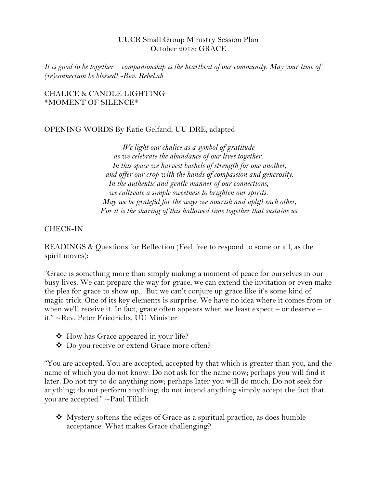### UUCR Small Group Ministry Session Plan October 2018: GRACE

*It is good to be together – companionship is the heartbeat of our community. May your time of (re)connection be blessed! -Rev. Rebekah*

#### CHALICE & CANDLE LIGHTING \*MOMENT OF SILENCE\*

### OPENING WORDS By Katie Gelfand, UU DRE, adapted

*We light our chalice as a symbol of gratitude as we celebrate the abundance of our lives together. In this space we harvest bushels of strength for one another, and offer our crop with the hands of compassion and generosity. In the authentic and gentle manner of our connections, we cultivate a simple sweetness to brighten our spirits. May we be grateful for the ways we nourish and uplift each other, For it is the sharing of this hallowed time together that sustains us.*

### CHECK-IN

READINGS & Questions for Reflection (Feel free to respond to some or all, as the spirit moves):

"Grace is something more than simply making a moment of peace for ourselves in our busy lives. We can prepare the way for grace, we can extend the invitation or even make the plea for grace to show up... But we can't conjure up grace like it's some kind of magic trick. One of its key elements is surprise. We have no idea where it comes from or when we'll receive it. In fact, grace often appears when we least expect – or deserve – it." ~Rev. Peter Friedrichs, UU Minister

- $\triangleleft$  How has Grace appeared in your life?
- Do you receive or extend Grace more often?

"You are accepted. You are accepted, accepted by that which is greater than you, and the name of which you do not know. Do not ask for the name now; perhaps you will find it later. Do not try to do anything now; perhaps later you will do much. Do not seek for anything; do not perform anything; do not intend anything simply accept the fact that you are accepted." ~Paul Tillich

 $\triangle$  Mystery softens the edges of Grace as a spiritual practice, as does humble acceptance. What makes Grace challenging?